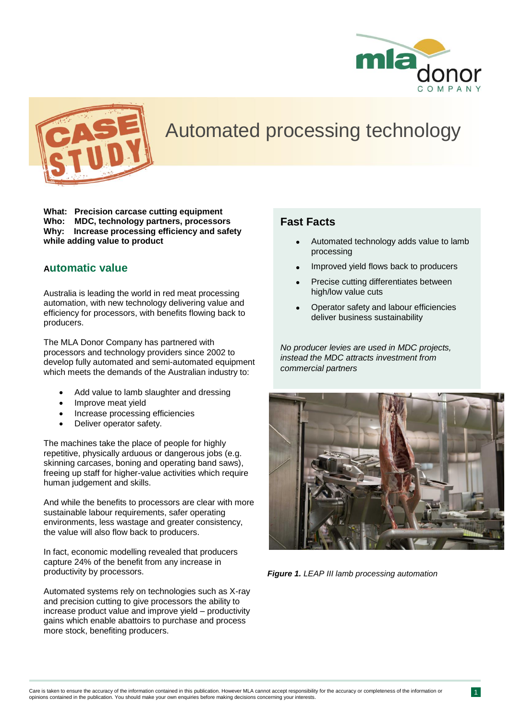



# Automated processing technology

**What: Precision carcase cutting equipment Who: MDC, technology partners, processors Why: Increase processing efficiency and safety while adding value to product**

#### **Automatic value**

Australia is leading the world in red meat processing automation, with new technology delivering value and efficiency for processors, with benefits flowing back to producers.

The MLA Donor Company has partnered with processors and technology providers since 2002 to develop fully automated and semi-automated equipment which meets the demands of the Australian industry to:

- Add value to lamb slaughter and dressing
- Improve meat yield
- Increase processing efficiencies
- Deliver operator safety.

The machines take the place of people for highly repetitive, physically arduous or dangerous jobs (e.g. skinning carcases, boning and operating band saws), freeing up staff for higher-value activities which require human judgement and skills.

And while the benefits to processors are clear with more sustainable labour requirements, safer operating environments, less wastage and greater consistency, the value will also flow back to producers.

In fact, economic modelling revealed that producers capture 24% of the benefit from any increase in productivity by processors.

Automated systems rely on technologies such as X-ray and precision cutting to give processors the ability to increase product value and improve yield – productivity gains which enable abattoirs to purchase and process more stock, benefiting producers.

### **Fast Facts**

- Automated technology adds value to lamb processing
- Improved yield flows back to producers
- Precise cutting differentiates between high/low value cuts
- Operator safety and labour efficiencies deliver business sustainability

*No producer levies are used in MDC projects, instead the MDC attracts investment from commercial partners*



*Figure 1. LEAP III lamb processing automation*